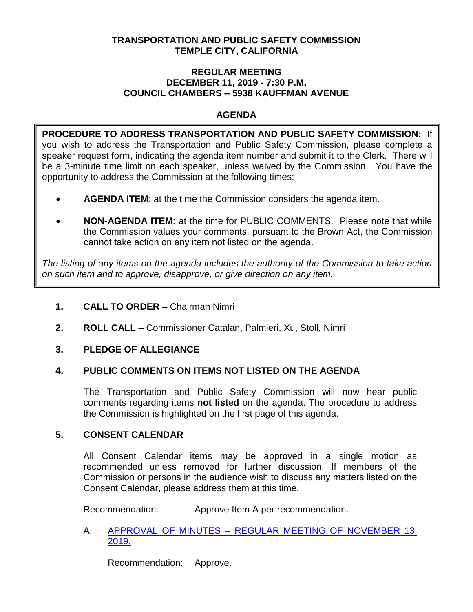## **TRANSPORTATION AND PUBLIC SAFETY COMMISSION TEMPLE CITY, CALIFORNIA**

### **REGULAR MEETING DECEMBER 11, 2019 - 7:30 P.M. COUNCIL CHAMBERS – 5938 KAUFFMAN AVENUE**

## **AGENDA**

**PROCEDURE TO ADDRESS TRANSPORTATION AND PUBLIC SAFETY COMMISSION:** If you wish to address the Transportation and Public Safety Commission, please complete a speaker request form, indicating the agenda item number and submit it to the Clerk. There will be a 3-minute time limit on each speaker, unless waived by the Commission. You have the opportunity to address the Commission at the following times:

- **AGENDA ITEM**: at the time the Commission considers the agenda item.
- **NON-AGENDA ITEM**: at the time for PUBLIC COMMENTS. Please note that while the Commission values your comments, pursuant to the Brown Act, the Commission cannot take action on any item not listed on the agenda.

*The listing of any items on the agenda includes the authority of the Commission to take action on such item and to approve, disapprove, or give direction on any item.*

- **1. CALL TO ORDER –** Chairman Nimri
- **2. ROLL CALL –** Commissioner Catalan, Palmieri, Xu, Stoll, Nimri

## **3. PLEDGE OF ALLEGIANCE**

## **4. PUBLIC COMMENTS ON ITEMS NOT LISTED ON THE AGENDA**

The Transportation and Public Safety Commission will now hear public comments regarding items **not listed** on the agenda. The procedure to address the Commission is highlighted on the first page of this agenda.

## **5. CONSENT CALENDAR**

All Consent Calendar items may be approved in a single motion as recommended unless removed for further discussion. If members of the Commission or persons in the audience wish to discuss any matters listed on the Consent Calendar, please address them at this time.

Recommendation: Approve Item A per recommendation.

A. APPROVAL OF MINUTES – [REGULAR MEETING OF NOVEMBER 13,](/DocumentCenter/View/13487/TPSC-min-2019-11-13)  [2019.](/DocumentCenter/View/13487/TPSC-min-2019-11-13)

Recommendation: Approve.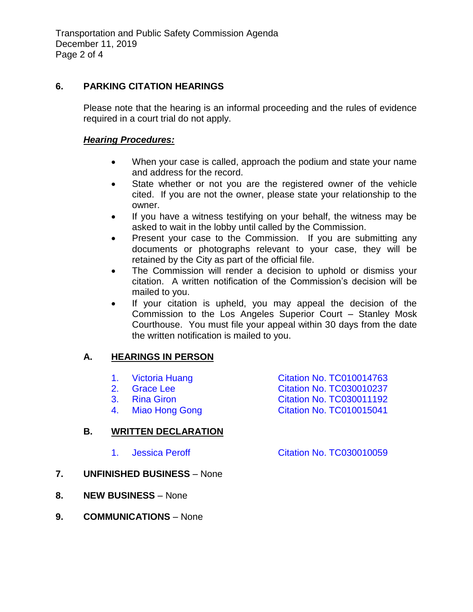## **6. PARKING CITATION HEARINGS**

Please note that the hearing is an informal proceeding and the rules of evidence required in a court trial do not apply.

### *Hearing Procedures:*

- When your case is called, approach the podium and state your name and address for the record.
- State whether or not you are the registered owner of the vehicle cited. If you are not the owner, please state your relationship to the owner.
- If you have a witness testifying on your behalf, the witness may be asked to wait in the lobby until called by the Commission.
- Present your case to the Commission. If you are submitting any documents or photographs relevant to your case, they will be retained by the City as part of the official file.
- The Commission will render a decision to uphold or dismiss your citation. A written notification of the Commission's decision will be mailed to you.
- If your citation is upheld, you may appeal the decision of the Commission to the Los Angeles Superior Court – Stanley Mosk Courthouse. You must file your appeal within 30 days from the date the written notification is mailed to you.

# **A. HEARINGS IN PERSON**

- 1. [Victoria Huang Citation No. TC010014763](/DocumentCenter/View/13482/6A1-TC010014763)
- 2. [Grace Lee Citation No. TC030010237](/DocumentCenter/View/13483/6A2-TC030010237)
- 3. [Rina Giron Citation No. TC030011192](/DocumentCenter/View/13484/6A3-TC030011192)
- 4. [Miao Hong Gong Citation No. TC010015041](/DocumentCenter/View/13485/6A4-TC010015041)

## **B. WRITTEN DECLARATION**

- 1. Jessica Peroff [Citation No. TC030010059](/DocumentCenter/View/13486/6B1-TC030010059)
- **7. UNFINISHED BUSINESS** None
- **8. NEW BUSINESS** None
- **9. COMMUNICATIONS** None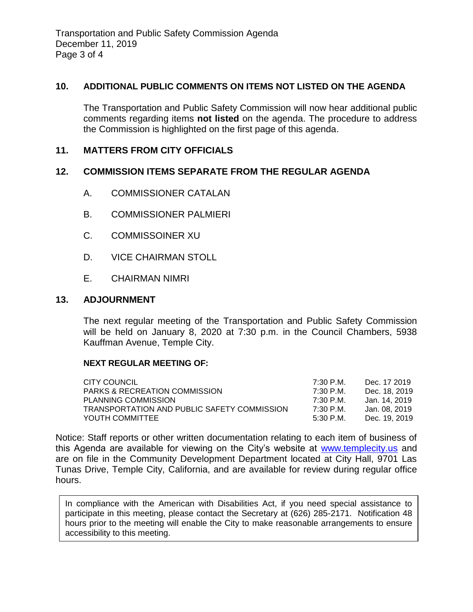Transportation and Public Safety Commission Agenda December 11, 2019 Page 3 of 4

### **10. ADDITIONAL PUBLIC COMMENTS ON ITEMS NOT LISTED ON THE AGENDA**

The Transportation and Public Safety Commission will now hear additional public comments regarding items **not listed** on the agenda. The procedure to address the Commission is highlighted on the first page of this agenda.

### **11. MATTERS FROM CITY OFFICIALS**

### **12. COMMISSION ITEMS SEPARATE FROM THE REGULAR AGENDA**

- A. COMMISSIONER CATALAN
- B. COMMISSIONER PALMIERI
- C. COMMISSOINER XU
- D. VICE CHAIRMAN STOLL
- E. CHAIRMAN NIMRI

### **13. ADJOURNMENT**

The next regular meeting of the Transportation and Public Safety Commission will be held on January 8, 2020 at 7:30 p.m. in the Council Chambers, 5938 Kauffman Avenue, Temple City.

#### **NEXT REGULAR MEETING OF:**

| CITY COUNCIL                                | 7:30 P.M. | Dec. 17 2019  |
|---------------------------------------------|-----------|---------------|
| <b>PARKS &amp; RECREATION COMMISSION</b>    | 7:30 P.M. | Dec. 18, 2019 |
| PLANNING COMMISSION                         | 7:30 P.M. | Jan. 14. 2019 |
| TRANSPORTATION AND PUBLIC SAFETY COMMISSION | 7:30 P.M. | Jan. 08. 2019 |
| YOUTH COMMITTEE                             | 5:30 P.M. | Dec. 19, 2019 |

Notice: Staff reports or other written documentation relating to each item of business of this Agenda are available for viewing on the City's website at [www.templecity.us](http://www.templecity.us/) and are on file in the Community Development Department located at City Hall, 9701 Las Tunas Drive, Temple City, California, and are available for review during regular office hours.

In compliance with the American with Disabilities Act, if you need special assistance to participate in this meeting, please contact the Secretary at (626) 285-2171. Notification 48 hours prior to the meeting will enable the City to make reasonable arrangements to ensure accessibility to this meeting.